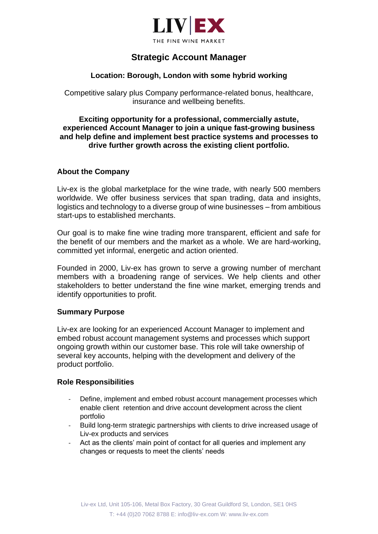

# **Strategic Account Manager**

# **Location: Borough, London with some hybrid working**

Competitive salary plus Company performance-related bonus, healthcare, insurance and wellbeing benefits.

## **Exciting opportunity for a professional, commercially astute, experienced Account Manager to join a unique fast-growing business and help define and implement best practice systems and processes to drive further growth across the existing client portfolio.**

## **About the Company**

Liv-ex is the global marketplace for the wine trade, with nearly 500 members worldwide. We offer business services that span trading, data and insights, logistics and technology to a diverse group of wine businesses – from ambitious start-ups to established merchants.

Our goal is to make fine wine trading more transparent, efficient and safe for the benefit of our members and the market as a whole. We are hard-working, committed yet informal, energetic and action oriented.

Founded in 2000, Liv-ex has grown to serve a growing number of merchant members with a broadening range of services. We help clients and other stakeholders to better understand the fine wine market, emerging trends and identify opportunities to profit.

#### **Summary Purpose**

Liv-ex are looking for an experienced Account Manager to implement and embed robust account management systems and processes which support ongoing growth within our customer base. This role will take ownership of several key accounts, helping with the development and delivery of the product portfolio.

#### **Role Responsibilities**

- Define, implement and embed robust account management processes which enable client retention and drive account development across the client portfolio
- Build long-term strategic partnerships with clients to drive increased usage of Liv-ex products and services
- Act as the clients' main point of contact for all queries and implement any changes or requests to meet the clients' needs